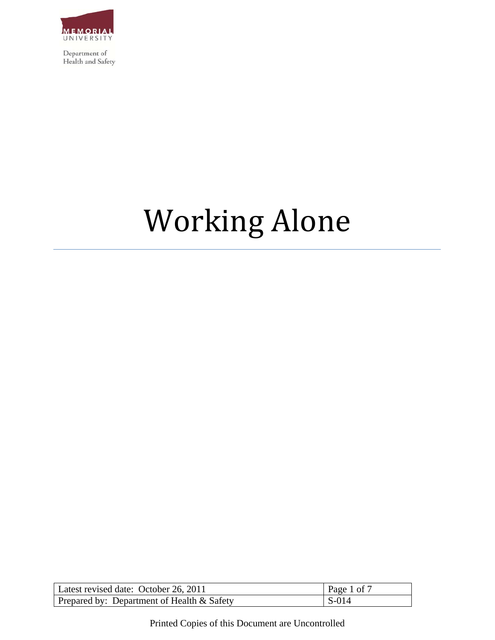

# **Working Alone**

| Latest revised date: October 26, 2011         | Page 1 of 7   |
|-----------------------------------------------|---------------|
| Prepared by: Department of Health $\&$ Safety | $\vert$ S-014 |

Printed Copies of this Document are Uncontrolled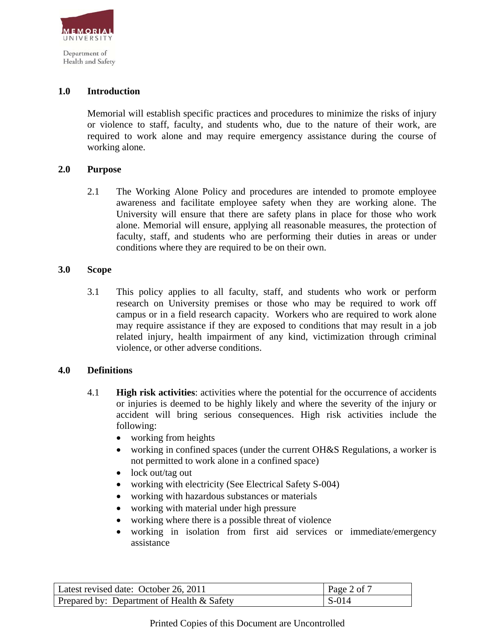

## **1.0 Introduction**

Memorial will establish specific practices and procedures to minimize the risks of injury or violence to staff, faculty, and students who, due to the nature of their work, are required to work alone and may require emergency assistance during the course of working alone.

## **2.0 Purpose**

2.1 The Working Alone Policy and procedures are intended to promote employee awareness and facilitate employee safety when they are working alone. The University will ensure that there are safety plans in place for those who work alone. Memorial will ensure, applying all reasonable measures, the protection of faculty, staff, and students who are performing their duties in areas or under conditions where they are required to be on their own.

## **3.0 Scope**

3.1 This policy applies to all faculty, staff, and students who work or perform research on University premises or those who may be required to work off campus or in a field research capacity. Workers who are required to work alone may require assistance if they are exposed to conditions that may result in a job related injury, health impairment of any kind, victimization through criminal violence, or other adverse conditions.

## **4.0 Definitions**

- 4.1 **High risk activities**: activities where the potential for the occurrence of accidents or injuries is deemed to be highly likely and where the severity of the injury or accident will bring serious consequences. High risk activities include the following:
	- working from heights
	- working in confined spaces (under the current OH&S Regulations, a worker is not permitted to work alone in a confined space)
	- lock out/tag out
	- working with electricity (See Electrical Safety S-004)
	- working with hazardous substances or materials
	- working with material under high pressure
	- working where there is a possible threat of violence
	- working in isolation from first aid services or immediate/emergency assistance

| Latest revised date: October 26, 2011      | Page 2 of 7 |
|--------------------------------------------|-------------|
| Prepared by: Department of Health & Safety | l S-014     |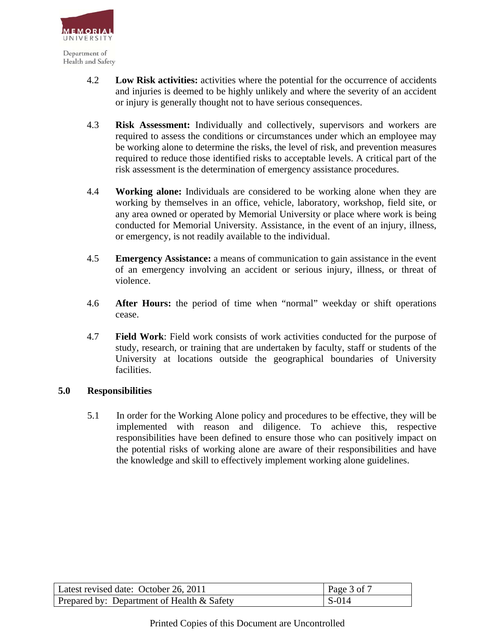

- 4.2 **Low Risk activities:** activities where the potential for the occurrence of accidents and injuries is deemed to be highly unlikely and where the severity of an accident or injury is generally thought not to have serious consequences.
- 4.3 **Risk Assessment:** Individually and collectively, supervisors and workers are required to assess the conditions or circumstances under which an employee may be working alone to determine the risks, the level of risk, and prevention measures required to reduce those identified risks to acceptable levels. A critical part of the risk assessment is the determination of emergency assistance procedures.
- 4.4 **Working alone:** Individuals are considered to be working alone when they are working by themselves in an office, vehicle, laboratory, workshop, field site, or any area owned or operated by Memorial University or place where work is being conducted for Memorial University. Assistance, in the event of an injury, illness, or emergency, is not readily available to the individual.
- 4.5 **Emergency Assistance:** a means of communication to gain assistance in the event of an emergency involving an accident or serious injury, illness, or threat of violence.
- 4.6 **After Hours:** the period of time when "normal" weekday or shift operations cease.
- 4.7 **Field Work**: Field work consists of work activities conducted for the purpose of study, research, or training that are undertaken by faculty, staff or students of the University at locations outside the geographical boundaries of University facilities.

## **5.0 Responsibilities**

5.1 In order for the Working Alone policy and procedures to be effective, they will be implemented with reason and diligence. To achieve this, respective responsibilities have been defined to ensure those who can positively impact on the potential risks of working alone are aware of their responsibilities and have the knowledge and skill to effectively implement working alone guidelines.

| Latest revised date: October 26, 2011      | Page $3$ of $7$ |
|--------------------------------------------|-----------------|
| Prepared by: Department of Health & Safety | $\mid$ S-014    |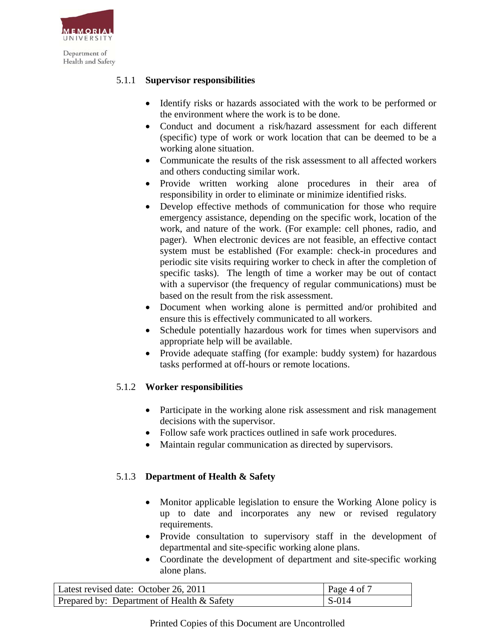

## 5.1.1 **Supervisor responsibilities**

- Identify risks or hazards associated with the work to be performed or the environment where the work is to be done.
- Conduct and document a risk/hazard assessment for each different (specific) type of work or work location that can be deemed to be a working alone situation.
- Communicate the results of the risk assessment to all affected workers and others conducting similar work.
- Provide written working alone procedures in their area of responsibility in order to eliminate or minimize identified risks.
- Develop effective methods of communication for those who require emergency assistance, depending on the specific work, location of the work, and nature of the work. (For example: cell phones, radio, and pager). When electronic devices are not feasible, an effective contact system must be established (For example: check-in procedures and periodic site visits requiring worker to check in after the completion of specific tasks). The length of time a worker may be out of contact with a supervisor (the frequency of regular communications) must be based on the result from the risk assessment.
- Document when working alone is permitted and/or prohibited and ensure this is effectively communicated to all workers.
- Schedule potentially hazardous work for times when supervisors and appropriate help will be available.
- Provide adequate staffing (for example: buddy system) for hazardous tasks performed at off-hours or remote locations.

# 5.1.2 **Worker responsibilities**

- Participate in the working alone risk assessment and risk management decisions with the supervisor.
- Follow safe work practices outlined in safe work procedures.
- Maintain regular communication as directed by supervisors.

# 5.1.3 **Department of Health & Safety**

- Monitor applicable legislation to ensure the Working Alone policy is up to date and incorporates any new or revised regulatory requirements.
- Provide consultation to supervisory staff in the development of departmental and site-specific working alone plans.
- Coordinate the development of department and site-specific working alone plans.

| Latest revised date: October 26, 2011      | Page 4 of $\overline{7}$ |
|--------------------------------------------|--------------------------|
| Prepared by: Department of Health & Safety | $\vert$ S-014            |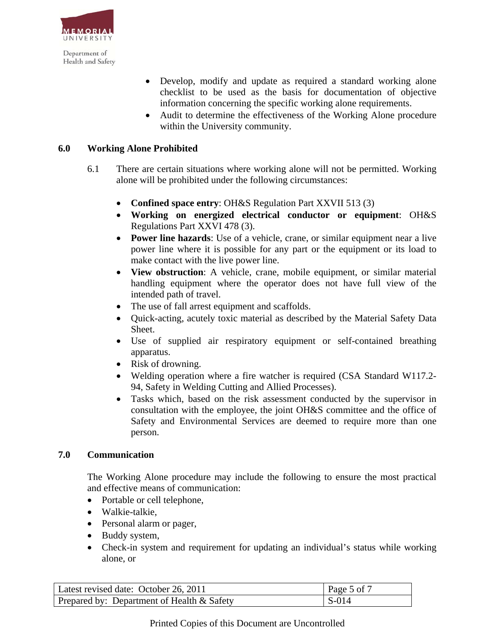

- Develop, modify and update as required a standard working alone checklist to be used as the basis for documentation of objective information concerning the specific working alone requirements.
- Audit to determine the effectiveness of the Working Alone procedure within the University community.

## **6.0 Working Alone Prohibited**

- 6.1There are certain situations where working alone will not be permitted. Working alone will be prohibited under the following circumstances:
	- **Confined space entry**: OH&S Regulation Part XXVII 513 (3)
	- **Working on energized electrical conductor or equipment**: OH&S Regulations Part XXVI 478 (3).
	- **Power line hazards**: Use of a vehicle, crane, or similar equipment near a live power line where it is possible for any part or the equipment or its load to make contact with the live power line.
	- **View obstruction**: A vehicle, crane, mobile equipment, or similar material handling equipment where the operator does not have full view of the intended path of travel.
	- The use of fall arrest equipment and scaffolds.
	- Quick-acting, acutely toxic material as described by the Material Safety Data Sheet.
	- Use of supplied air respiratory equipment or self-contained breathing apparatus.
	- Risk of drowning.
	- Welding operation where a fire watcher is required (CSA Standard W117.2- 94, Safety in Welding Cutting and Allied Processes).
	- Tasks which, based on the risk assessment conducted by the supervisor in consultation with the employee, the joint OH&S committee and the office of Safety and Environmental Services are deemed to require more than one person.

## **7.0 Communication**

The Working Alone procedure may include the following to ensure the most practical and effective means of communication:

- Portable or cell telephone,
- Walkie-talkie,
- Personal alarm or pager,
- Buddy system,
- Check-in system and requirement for updating an individual's status while working alone, or

| Latest revised date: October 26, 2011      | $\vert$ Page 5 of 7 |
|--------------------------------------------|---------------------|
| Prepared by: Department of Health & Safety | $\vert$ S-014       |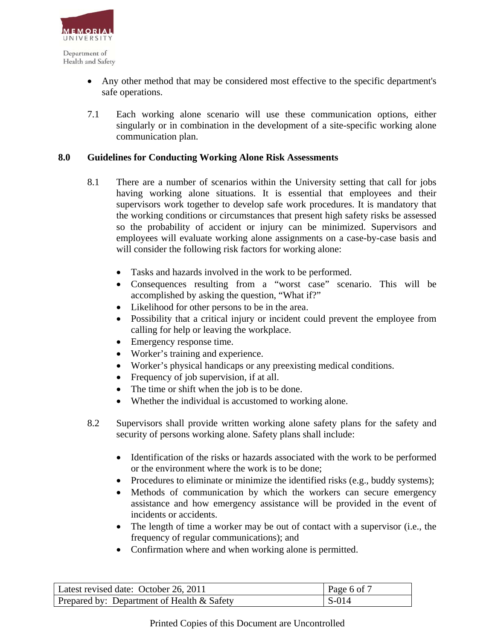

- Any other method that may be considered most effective to the specific department's safe operations.
- 7.1 Each working alone scenario will use these communication options, either singularly or in combination in the development of a site-specific working alone communication plan.

#### **8.0 Guidelines for Conducting Working Alone Risk Assessments**

- 8.1 There are a number of scenarios within the University setting that call for jobs having working alone situations. It is essential that employees and their supervisors work together to develop safe work procedures. It is mandatory that the working conditions or circumstances that present high safety risks be assessed so the probability of accident or injury can be minimized. Supervisors and employees will evaluate working alone assignments on a case-by-case basis and will consider the following risk factors for working alone:
	- Tasks and hazards involved in the work to be performed.
	- Consequences resulting from a "worst case" scenario. This will be accomplished by asking the question, "What if?"
	- Likelihood for other persons to be in the area.
	- Possibility that a critical injury or incident could prevent the employee from calling for help or leaving the workplace.
	- Emergency response time.
	- Worker's training and experience.
	- Worker's physical handicaps or any preexisting medical conditions.
	- Frequency of job supervision, if at all.
	- The time or shift when the job is to be done.
	- Whether the individual is accustomed to working alone.
- 8.2 Supervisors shall provide written working alone safety plans for the safety and security of persons working alone. Safety plans shall include:
	- Identification of the risks or hazards associated with the work to be performed or the environment where the work is to be done;
	- Procedures to eliminate or minimize the identified risks (e.g., buddy systems);
	- Methods of communication by which the workers can secure emergency assistance and how emergency assistance will be provided in the event of incidents or accidents.
	- The length of time a worker may be out of contact with a supervisor (i.e., the frequency of regular communications); and
	- Confirmation where and when working alone is permitted.

| Latest revised date: October 26, 2011      | $\vert$ Page 6 of 7 |
|--------------------------------------------|---------------------|
| Prepared by: Department of Health & Safety | $\vert$ S-014       |